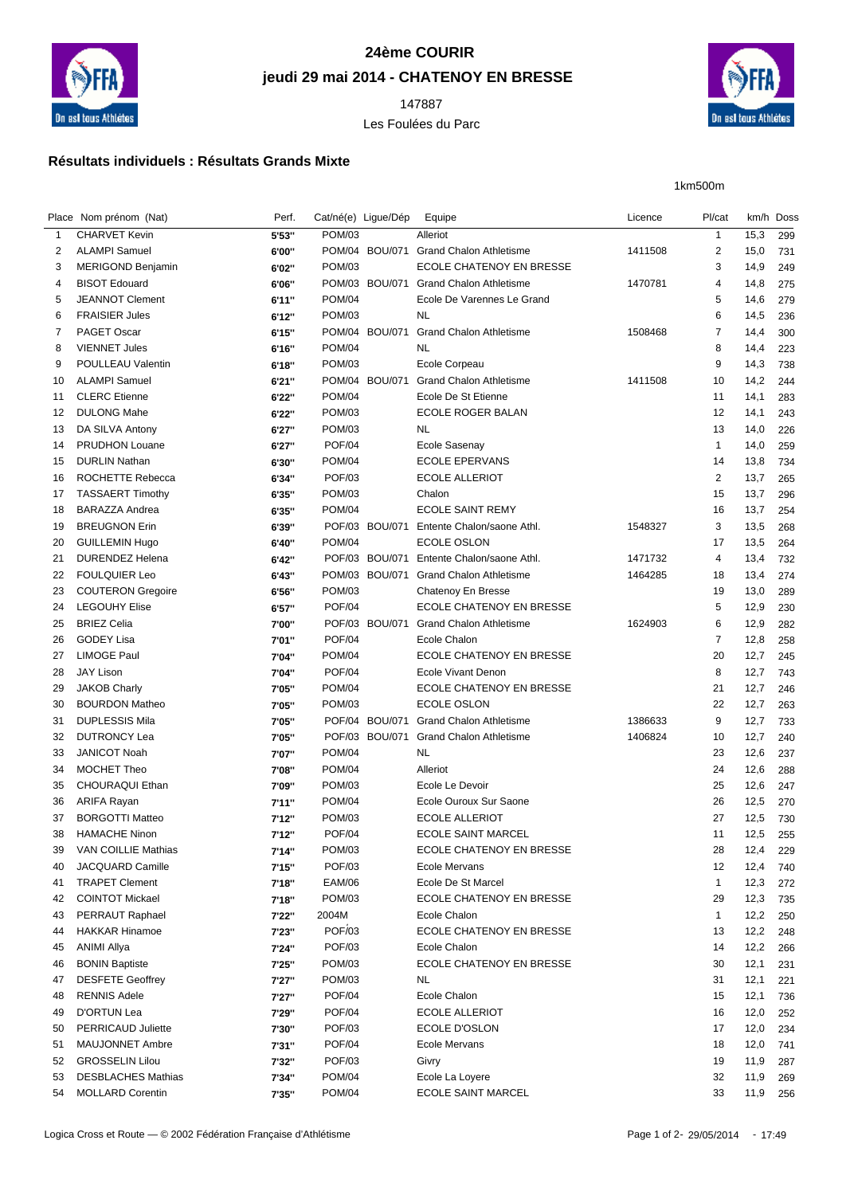

## **24ème COURIR jeudi 29 mai 2014 - CHATENOY EN BRESSE**

Les Foulées du Parc



1km500m

## **Résultats individuels : Résultats Grands Mixte**

|              | Place Nom prénom (Nat)    | Perf.  | Cat/né(e) Ligue/Dép |                | Equipe                                 | Licence | Pl/cat         | km/h Doss |            |
|--------------|---------------------------|--------|---------------------|----------------|----------------------------------------|---------|----------------|-----------|------------|
| $\mathbf{1}$ | <b>CHARVET Kevin</b>      | 5'53"  | POM/03              |                | Alleriot                               |         | $\mathbf{1}$   | 15,3      | 299        |
| 2            | <b>ALAMPI Samuel</b>      | 6'00"  |                     | POM/04 BOU/071 | <b>Grand Chalon Athletisme</b>         | 1411508 | 2              | 15,0      | 731        |
| 3            | <b>MERIGOND Benjamin</b>  | 6'02"  | <b>POM/03</b>       |                | ECOLE CHATENOY EN BRESSE               |         | 3              | 14,9      | 249        |
| 4            | <b>BISOT Edouard</b>      | 6'06"  |                     |                | POM/03 BOU/071 Grand Chalon Athletisme | 1470781 | 4              | 14,8      | 275        |
| 5            | <b>JEANNOT Clement</b>    | 6'11"  | <b>POM/04</b>       |                | Ecole De Varennes Le Grand             |         | 5              | 14,6      | 279        |
| 6            | <b>FRAISIER Jules</b>     | 6'12"  | <b>POM/03</b>       |                | NL                                     |         | 6              | 14,5      | 236        |
| 7            | PAGET Oscar               | 6'15"  |                     | POM/04 BOU/071 | <b>Grand Chalon Athletisme</b>         | 1508468 | 7              | 14,4      | 300        |
| 8            | <b>VIENNET Jules</b>      | 6'16"  | <b>POM/04</b>       |                | <b>NL</b>                              |         | 8              | 14,4      | 223        |
| 9            | <b>POULLEAU Valentin</b>  | 6'18"  | POM/03              |                | Ecole Corpeau                          |         | 9              | 14,3      | 738        |
| 10           | <b>ALAMPI Samuel</b>      | 6'21"  |                     | POM/04 BOU/071 | <b>Grand Chalon Athletisme</b>         | 1411508 | 10             | 14,2      | 244        |
| 11           | <b>CLERC</b> Etienne      | 6'22"  | <b>POM/04</b>       |                | Ecole De St Etienne                    |         | 11             | 14,1      | 283        |
| 12           | <b>DULONG Mahe</b>        | 6'22"  | <b>POM/03</b>       |                | ECOLE ROGER BALAN                      |         | 12             | 14,1      | 243        |
| 13           | DA SILVA Antony           | 6'27"  | POM/03              |                | NL                                     |         | 13             | 14,0      | 226        |
| 14           | <b>PRUDHON Louane</b>     | 6'27"  | <b>POF/04</b>       |                | Ecole Sasenay                          |         | $\mathbf{1}$   | 14,0      | 259        |
| 15           | <b>DURLIN Nathan</b>      | 6'30"  | <b>POM/04</b>       |                | <b>ECOLE EPERVANS</b>                  |         | 14             | 13,8      | 734        |
| 16           | ROCHETTE Rebecca          | 6'34"  | <b>POF/03</b>       |                | <b>ECOLE ALLERIOT</b>                  |         | 2              | 13,7      | 265        |
| 17           | <b>TASSAERT Timothy</b>   | 6'35"  | <b>POM/03</b>       |                | Chalon                                 |         | 15             | 13,7      | 296        |
| 18           | <b>BARAZZA Andrea</b>     | 6'35"  | <b>POM/04</b>       |                | <b>ECOLE SAINT REMY</b>                |         | 16             | 13,7      | 254        |
| 19           | <b>BREUGNON Erin</b>      | 6'39"  |                     | POF/03 BOU/071 | Entente Chalon/saone Athl.             | 1548327 | 3              | 13,5      | 268        |
| 20           | <b>GUILLEMIN Hugo</b>     | 6'40"  | <b>POM/04</b>       |                | ECOLE OSLON                            |         | 17             | 13,5      | 264        |
| 21           | <b>DURENDEZ Helena</b>    | 6'42"  |                     | POF/03 BOU/071 | Entente Chalon/saone Athl.             | 1471732 | 4              | 13,4      | 732        |
| 22           | <b>FOULQUIER Leo</b>      | 6'43"  |                     | POM/03 BOU/071 | <b>Grand Chalon Athletisme</b>         | 1464285 | 18             | 13,4      | 274        |
| 23           | <b>COUTERON Gregoire</b>  | 6'56"  | POM/03              |                | Chatenoy En Bresse                     |         | 19             | 13,0      | 289        |
| 24           | <b>LEGOUHY Elise</b>      | 6'57"  | <b>POF/04</b>       |                | ECOLE CHATENOY EN BRESSE               |         | 5              | 12,9      | 230        |
| 25           | <b>BRIEZ Celia</b>        | 7'00"  |                     | POF/03 BOU/071 | <b>Grand Chalon Athletisme</b>         | 1624903 | 6              | 12,9      | 282        |
| 26           | <b>GODEY Lisa</b>         | 7'01"  | <b>POF/04</b>       |                | Ecole Chalon                           |         | $\overline{7}$ | 12,8      | 258        |
| 27           | <b>LIMOGE Paul</b>        | 7'04"  | <b>POM/04</b>       |                | <b>ECOLE CHATENOY EN BRESSE</b>        |         | 20             | 12,7      | 245        |
| 28           | <b>JAY Lison</b>          | 7'04"  | <b>POF/04</b>       |                | Ecole Vivant Denon                     |         | 8              | 12,7      | 743        |
| 29           | <b>JAKOB Charly</b>       | 7'05"  | <b>POM/04</b>       |                | ECOLE CHATENOY EN BRESSE               |         | 21             | 12,7      | 246        |
| 30           | <b>BOURDON Matheo</b>     | 7'05"  | <b>POM/03</b>       |                | ECOLE OSLON                            |         | 22             | 12,7      | 263        |
| 31           | <b>DUPLESSIS Mila</b>     | 7'05"  |                     | POF/04 BOU/071 | <b>Grand Chalon Athletisme</b>         | 1386633 | 9              | 12,7      | 733        |
| 32           | <b>DUTRONCY Lea</b>       | 7'05"  |                     | POF/03 BOU/071 | <b>Grand Chalon Athletisme</b>         | 1406824 | 10             | 12,7      | 240        |
| 33           | <b>JANICOT Noah</b>       | 7'07"  | <b>POM/04</b>       |                | <b>NL</b>                              |         | 23             | 12,6      | 237        |
| 34           | <b>MOCHET Theo</b>        | 7'08"  | <b>POM/04</b>       |                | Alleriot                               |         | 24             | 12,6      | 288        |
| 35           | CHOURAQUI Ethan           | 7'09"  | <b>POM/03</b>       |                | Ecole Le Devoir                        |         | 25             | 12,6      | 247        |
| 36           | ARIFA Rayan               | 7'11'' | <b>POM/04</b>       |                | Ecole Ouroux Sur Saone                 |         | 26             | 12,5      | 270        |
| 37           | <b>BORGOTTI Matteo</b>    | 7'12"  | <b>POM/03</b>       |                | ECOLE ALLERIOT                         |         | 27             | 12,5      | 730        |
| 38           | <b>HAMACHE Ninon</b>      | 7'12'' | <b>POF/04</b>       |                | ECOLE SAINT MARCEL                     |         | 11             | 12,5      | 255        |
| 39           | VAN COILLIE Mathias       | 7'14"  | POM/03              |                | ECOLE CHATENOY EN BRESSE               |         | 28             | 12,4      | 229        |
| 40           | JACQUARD Camille          | 7'15"  | <b>POF/03</b>       |                | Ecole Mervans                          |         | 12             | 12,4      |            |
| 41           | <b>TRAPET Clement</b>     | 7'18"  | <b>EAM/06</b>       |                | Ecole De St Marcel                     |         | $\mathbf{1}$   | 12,3      | 740<br>272 |
| 42           | <b>COINTOT Mickael</b>    | 7'18"  | POM/03              |                | ECOLE CHATENOY EN BRESSE               |         | 29             | 12,3      | 735        |
| 43           | PERRAUT Raphael           | 7'22"  | 2004M               |                | Ecole Chalon                           |         | $\mathbf{1}$   | 12,2      | 250        |
| 44           | <b>HAKKAR Hinamoe</b>     | 7'23"  | POF/03              |                | ECOLE CHATENOY EN BRESSE               |         | 13             | 12,2      | 248        |
| 45           | <b>ANIMI Allya</b>        | 7'24"  | <b>POF/03</b>       |                | Ecole Chalon                           |         | 14             | 12,2      |            |
| 46           | <b>BONIN Baptiste</b>     | 7'25"  | POM/03              |                | ECOLE CHATENOY EN BRESSE               |         | 30             | 12,1      | 266        |
| 47           | <b>DESFETE Geoffrey</b>   | 7'27"  | POM/03              |                | <b>NL</b>                              |         | 31             | 12,1      | 231<br>221 |
| 48           | <b>RENNIS Adele</b>       | 7'27'' | <b>POF/04</b>       |                | Ecole Chalon                           |         | 15             |           |            |
|              |                           |        |                     |                | <b>ECOLE ALLERIOT</b>                  |         |                | 12,1      | 736        |
| 49           | D'ORTUN Lea               | 7'29"  | <b>POF/04</b>       |                |                                        |         | 16             | 12,0      | 252        |
| 50           | <b>PERRICAUD Juliette</b> | 7'30"  | <b>POF/03</b>       |                | ECOLE D'OSLON                          |         | 17             | 12,0      | 234        |
| 51           | MAUJONNET Ambre           | 7'31"  | <b>POF/04</b>       |                | <b>Ecole Mervans</b>                   |         | 18             | 12,0      | 741        |
| 52           | <b>GROSSELIN Lilou</b>    | 7'32"  | <b>POF/03</b>       |                | Givry                                  |         | 19             | 11,9      | 287        |
| 53           | <b>DESBLACHES Mathias</b> | 7'34"  | <b>POM/04</b>       |                | Ecole La Loyere                        |         | 32             | 11,9      | 269        |
| 54           | <b>MOLLARD Corentin</b>   | 7'35"  | <b>POM/04</b>       |                | <b>ECOLE SAINT MARCEL</b>              |         | 33             | 11,9 256  |            |